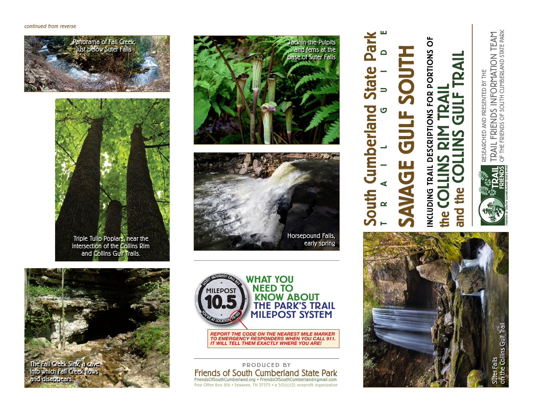## continued from reverse





Triple Tulip Poplars, near the intersection of the Collins Rim and Collins Gulf Trails.









Friends of South Cumberland State Park FriendsOfSouthCumberland.org • FriendsOfSouthCumberland@gmail.com Post Office Box 816 • Sewanee, TN 37375 • a 501(c)(3) nonprofit organization PRODUCED BY



South Cumberland State Park

**Lumberland** 

South

Park

State



TRAIL FRIENDS INFORMATION TEAM<br>of the friends of south cumberland state park OF THE FRIENDS OF SOUTH CUMBERLAND STATE PARK TRAIL FRIENDS INFORMATION TEAM RESEARCHED AND PRESENTED BY THE RESEARCHED AND PRESENTED BY THE